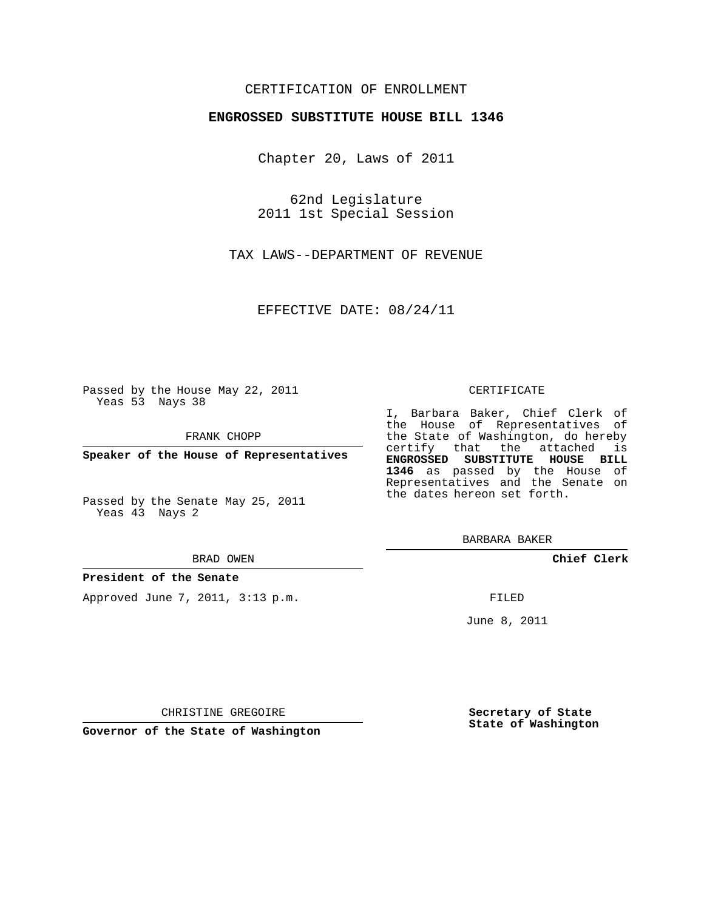## CERTIFICATION OF ENROLLMENT

### **ENGROSSED SUBSTITUTE HOUSE BILL 1346**

Chapter 20, Laws of 2011

62nd Legislature 2011 1st Special Session

TAX LAWS--DEPARTMENT OF REVENUE

EFFECTIVE DATE: 08/24/11

Passed by the House May 22, 2011 Yeas 53 Nays 38

FRANK CHOPP

**Speaker of the House of Representatives**

Passed by the Senate May 25, 2011 Yeas 43 Nays 2

#### BRAD OWEN

### **President of the Senate**

Approved June 7, 2011, 3:13 p.m.

#### CERTIFICATE

I, Barbara Baker, Chief Clerk of the House of Representatives of the State of Washington, do hereby certify that the attached is **ENGROSSED SUBSTITUTE HOUSE BILL 1346** as passed by the House of Representatives and the Senate on the dates hereon set forth.

BARBARA BAKER

**Chief Clerk**

FILED

June 8, 2011

**Secretary of State State of Washington**

CHRISTINE GREGOIRE

**Governor of the State of Washington**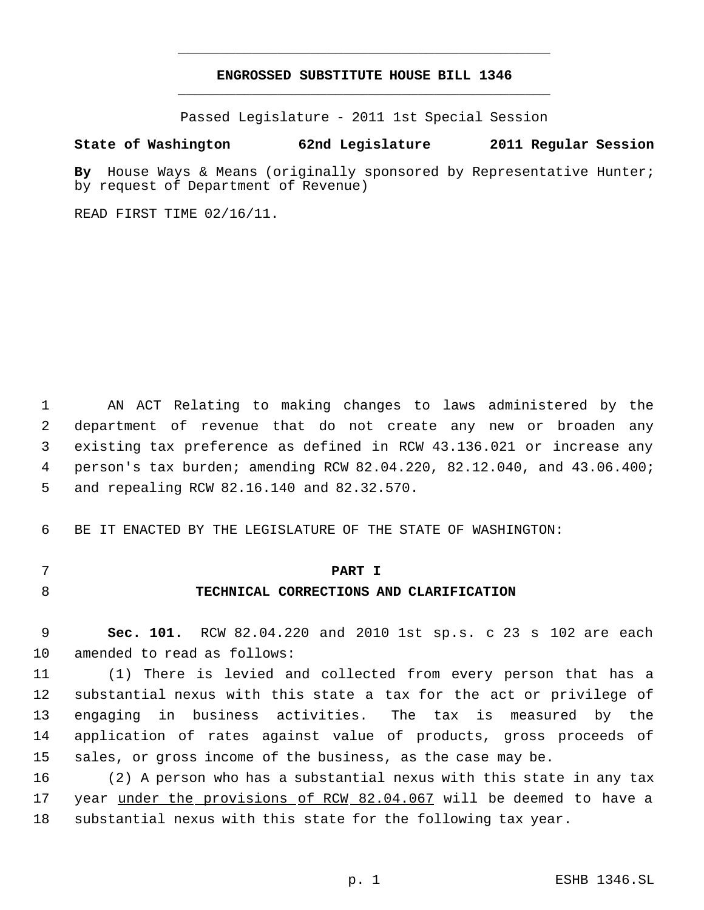# **ENGROSSED SUBSTITUTE HOUSE BILL 1346** \_\_\_\_\_\_\_\_\_\_\_\_\_\_\_\_\_\_\_\_\_\_\_\_\_\_\_\_\_\_\_\_\_\_\_\_\_\_\_\_\_\_\_\_\_

\_\_\_\_\_\_\_\_\_\_\_\_\_\_\_\_\_\_\_\_\_\_\_\_\_\_\_\_\_\_\_\_\_\_\_\_\_\_\_\_\_\_\_\_\_

Passed Legislature - 2011 1st Special Session

## **State of Washington 62nd Legislature 2011 Regular Session**

**By** House Ways & Means (originally sponsored by Representative Hunter; by request of Department of Revenue)

READ FIRST TIME 02/16/11.

 AN ACT Relating to making changes to laws administered by the department of revenue that do not create any new or broaden any existing tax preference as defined in RCW 43.136.021 or increase any person's tax burden; amending RCW 82.04.220, 82.12.040, and 43.06.400; and repealing RCW 82.16.140 and 82.32.570.

BE IT ENACTED BY THE LEGISLATURE OF THE STATE OF WASHINGTON:

### **PART I**

**TECHNICAL CORRECTIONS AND CLARIFICATION**

 **Sec. 101.** RCW 82.04.220 and 2010 1st sp.s. c 23 s 102 are each amended to read as follows:

 (1) There is levied and collected from every person that has a substantial nexus with this state a tax for the act or privilege of engaging in business activities. The tax is measured by the application of rates against value of products, gross proceeds of sales, or gross income of the business, as the case may be.

 (2) A person who has a substantial nexus with this state in any tax year under the provisions of RCW 82.04.067 will be deemed to have a substantial nexus with this state for the following tax year.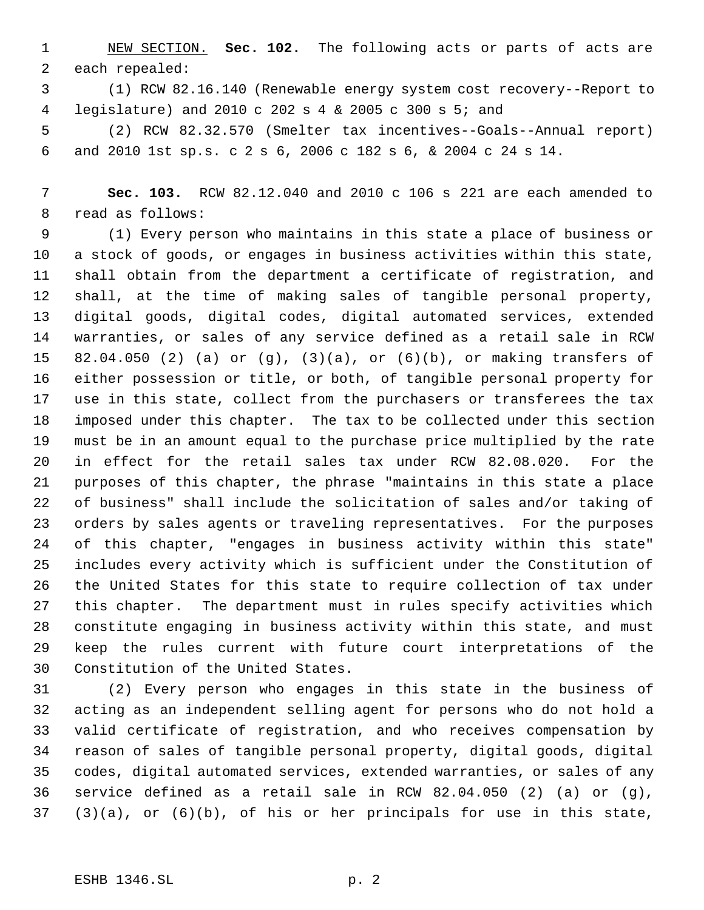NEW SECTION. **Sec. 102.** The following acts or parts of acts are each repealed:

 (1) RCW 82.16.140 (Renewable energy system cost recovery--Report to legislature) and 2010 c 202 s 4 & 2005 c 300 s 5; and

 (2) RCW 82.32.570 (Smelter tax incentives--Goals--Annual report) and 2010 1st sp.s. c 2 s 6, 2006 c 182 s 6, & 2004 c 24 s 14.

 **Sec. 103.** RCW 82.12.040 and 2010 c 106 s 221 are each amended to read as follows:

 (1) Every person who maintains in this state a place of business or a stock of goods, or engages in business activities within this state, shall obtain from the department a certificate of registration, and shall, at the time of making sales of tangible personal property, digital goods, digital codes, digital automated services, extended warranties, or sales of any service defined as a retail sale in RCW 82.04.050 (2) (a) or (g), (3)(a), or (6)(b), or making transfers of either possession or title, or both, of tangible personal property for use in this state, collect from the purchasers or transferees the tax imposed under this chapter. The tax to be collected under this section must be in an amount equal to the purchase price multiplied by the rate in effect for the retail sales tax under RCW 82.08.020. For the purposes of this chapter, the phrase "maintains in this state a place of business" shall include the solicitation of sales and/or taking of orders by sales agents or traveling representatives. For the purposes of this chapter, "engages in business activity within this state" includes every activity which is sufficient under the Constitution of the United States for this state to require collection of tax under this chapter. The department must in rules specify activities which constitute engaging in business activity within this state, and must keep the rules current with future court interpretations of the Constitution of the United States.

 (2) Every person who engages in this state in the business of acting as an independent selling agent for persons who do not hold a valid certificate of registration, and who receives compensation by reason of sales of tangible personal property, digital goods, digital codes, digital automated services, extended warranties, or sales of any service defined as a retail sale in RCW 82.04.050 (2) (a) or (g), (3)(a), or (6)(b), of his or her principals for use in this state,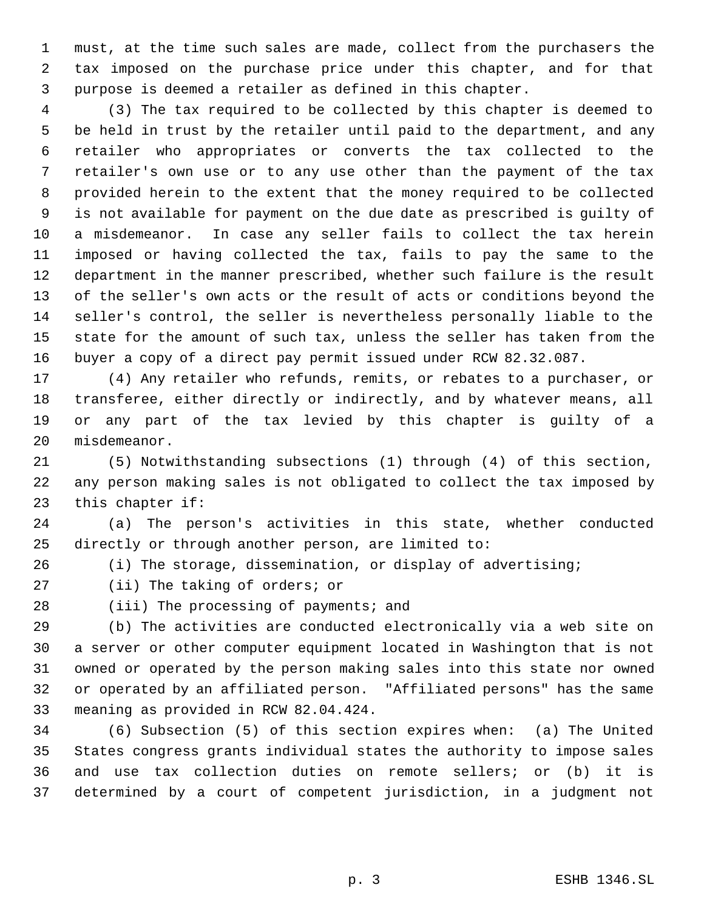must, at the time such sales are made, collect from the purchasers the tax imposed on the purchase price under this chapter, and for that purpose is deemed a retailer as defined in this chapter.

 (3) The tax required to be collected by this chapter is deemed to be held in trust by the retailer until paid to the department, and any retailer who appropriates or converts the tax collected to the retailer's own use or to any use other than the payment of the tax provided herein to the extent that the money required to be collected is not available for payment on the due date as prescribed is guilty of a misdemeanor. In case any seller fails to collect the tax herein imposed or having collected the tax, fails to pay the same to the department in the manner prescribed, whether such failure is the result of the seller's own acts or the result of acts or conditions beyond the seller's control, the seller is nevertheless personally liable to the state for the amount of such tax, unless the seller has taken from the buyer a copy of a direct pay permit issued under RCW 82.32.087.

 (4) Any retailer who refunds, remits, or rebates to a purchaser, or transferee, either directly or indirectly, and by whatever means, all or any part of the tax levied by this chapter is guilty of a misdemeanor.

 (5) Notwithstanding subsections (1) through (4) of this section, any person making sales is not obligated to collect the tax imposed by this chapter if:

 (a) The person's activities in this state, whether conducted directly or through another person, are limited to:

(i) The storage, dissemination, or display of advertising;

(ii) The taking of orders; or

28 (iii) The processing of payments; and

 (b) The activities are conducted electronically via a web site on a server or other computer equipment located in Washington that is not owned or operated by the person making sales into this state nor owned or operated by an affiliated person. "Affiliated persons" has the same meaning as provided in RCW 82.04.424.

 (6) Subsection (5) of this section expires when: (a) The United States congress grants individual states the authority to impose sales and use tax collection duties on remote sellers; or (b) it is determined by a court of competent jurisdiction, in a judgment not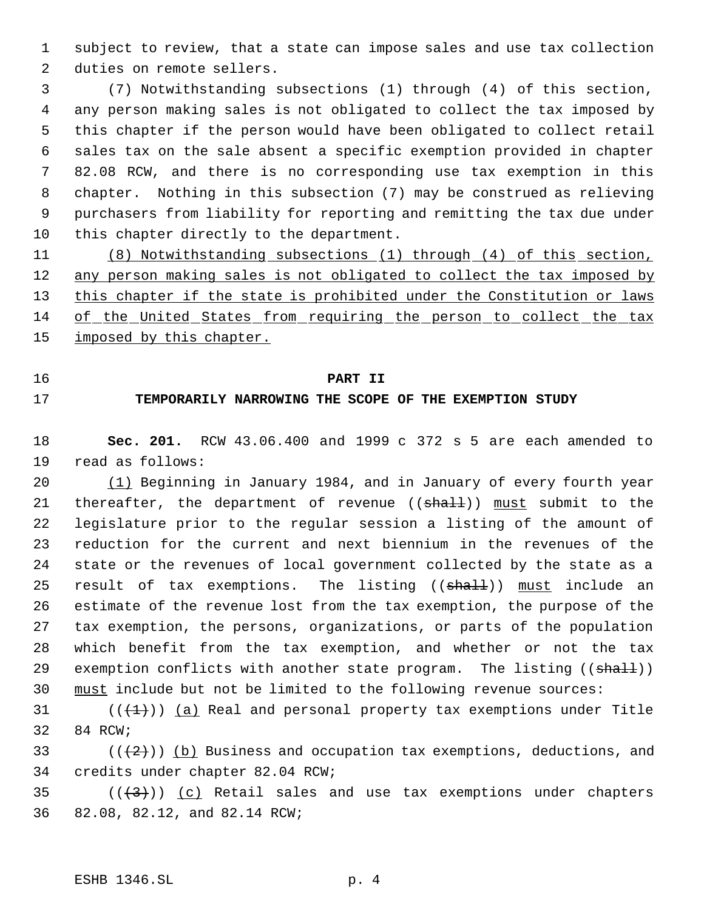subject to review, that a state can impose sales and use tax collection duties on remote sellers.

 (7) Notwithstanding subsections (1) through (4) of this section, any person making sales is not obligated to collect the tax imposed by this chapter if the person would have been obligated to collect retail sales tax on the sale absent a specific exemption provided in chapter 82.08 RCW, and there is no corresponding use tax exemption in this chapter. Nothing in this subsection (7) may be construed as relieving purchasers from liability for reporting and remitting the tax due under 10 this chapter directly to the department.

 (8) Notwithstanding subsections (1) through (4) of this section, 12 any person making sales is not obligated to collect the tax imposed by 13 this chapter if the state is prohibited under the Constitution or laws of the United States from requiring the person to collect the tax 15 imposed by this chapter.

## **PART II**

# **TEMPORARILY NARROWING THE SCOPE OF THE EXEMPTION STUDY**

 **Sec. 201.** RCW 43.06.400 and 1999 c 372 s 5 are each amended to read as follows:

 (1) Beginning in January 1984, and in January of every fourth year 21 thereafter, the department of revenue ((shall)) must submit to the legislature prior to the regular session a listing of the amount of reduction for the current and next biennium in the revenues of the state or the revenues of local government collected by the state as a 25 result of tax exemptions. The listing ((shall)) must include an estimate of the revenue lost from the tax exemption, the purpose of the tax exemption, the persons, organizations, or parts of the population which benefit from the tax exemption, and whether or not the tax 29 exemption conflicts with another state program. The listing ((shall)) must include but not be limited to the following revenue sources:

31  $((\langle 1 \rangle))$  (a) Real and personal property tax exemptions under Title 84 RCW;

33 ( $(\frac{2}{2})$ ) (b) Business and occupation tax exemptions, deductions, and credits under chapter 82.04 RCW;

35  $((+3))$   $(c)$  Retail sales and use tax exemptions under chapters 82.08, 82.12, and 82.14 RCW;